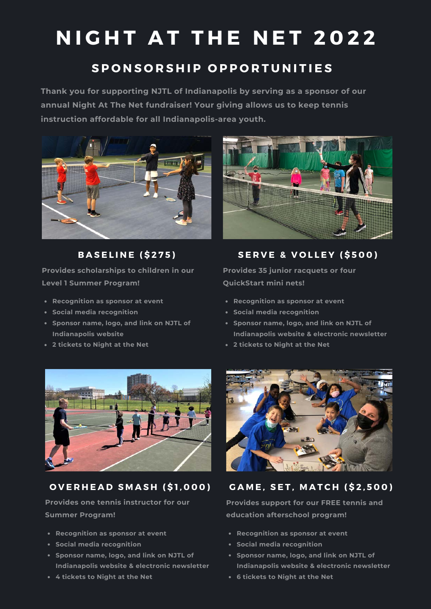# **NIGHT AT THE NET 2022**

### **S P O N S O R S H I P O P P O R T U N I T I E S**

**Thank you for supporting NJTL of Indianapolis by serving as a sponsor of our annual Night At The Net fundraiser! Your giving allows us to keep tennis instruction affordable for all Indianapolis-area youth.**



**B A S E L I N E ( \$ 2 7 5 )**

**Provides scholarships to children in our Level 1 Summer Program!**

- **Recognition as sponsor at event**
- **Social media recognition**
- **Sponsor name, logo, and link on NJTL of Indianapolis website**
- **2 tickets to Night at the Net**



**SERVE & VOLLEY (\$500)** 

**Provides 35 junior racquets or four QuickStart mini nets!**

- **Recognition as sponsor at event**
- **Social media recognition**
- **Sponsor name, logo, and link on NJTL of Indianapolis website & electronic newsletter**
- **2 tickets to Night at the Net**



#### **O V E R H E A D S M A S H ( \$ 1 , 0 0 0 )**

**Provides one tennis instructor for our Summer Program!**

- **Recognition as sponsor at event**
- **Social media recognition**
- **Sponsor name, logo, and link on NJTL of Indianapolis website & electronic newsletter**
- **4 tickets to Night at the Net**



#### **G A M E , S E T , M A T C H ( \$ 2 , 5 0 0 )**

**Provides support for our FREE tennis and education afterschool program!**

- **Recognition as sponsor at event**
- **Social media recognition**
- **Sponsor name, logo, and link on NJTL of Indianapolis website & electronic newsletter**
- **6 tickets to Night at the Net**